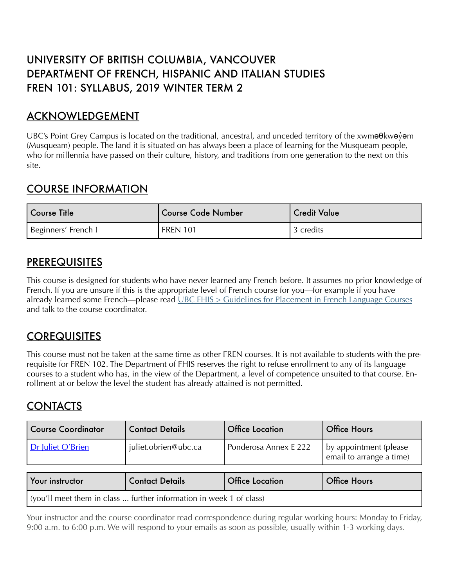# UNIVERSITY OF BRITISH COLUMBIA, VANCOUVER DEPARTMENT OF FRENCH, HISPANIC AND ITALIAN STUDIES FREN 101: SYLLABUS, 2019 WINTER TERM 2

## ACKNOWLEDGEMENT

UBC's Point Grey Campus is located on the traditional, ancestral, and unceded territory of the xwma Okwayam (Musqueam) people. The land it is situated on has always been a place of learning for the Musqueam people, who for millennia have passed on their culture, history, and traditions from one generation to the next on this site.

## COURSE INFORMATION

| ' Course Title      | <b>Course Code Number</b> | <b>Credit Value</b> |
|---------------------|---------------------------|---------------------|
| Beginners' French I | <b>FREN 101</b>           | 3 credits           |

## PREREQUISITES

This course is designed for students who have never learned any French before. It assumes no prior knowledge of French. If you are unsure if this is the appropriate level of French course for you—for example if you have already learned some French—please read [UBC FHIS > Guidelines for Placement in French Language Courses](https://fhis.ubc.ca/undergraduate-french-program/advising-french/guidelines-for-placement-in-french-language-courses/) and talk to the course coordinator.

## **COREQUISITES**

This course must not be taken at the same time as other FREN courses. It is not available to students with the prerequisite for FREN 102. The Department of FHIS reserves the right to refuse enrollment to any of its language courses to a student who has, in the view of the Department, a level of competence unsuited to that course. Enrollment at or below the level the student has already attained is not permitted.

## **CONTACTS**

| <b>Course Coordinator</b>                                                   | <b>Contact Details</b> | <b>Office Location</b> | <b>Office Hours</b>                                 |
|-----------------------------------------------------------------------------|------------------------|------------------------|-----------------------------------------------------|
| Dr Juliet O'Brien                                                           | juliet.obrien@ubc.ca   | Ponderosa Annex E 222  | by appointment (please)<br>email to arrange a time) |
| Your instructor                                                             | <b>Contact Details</b> | <b>Office Location</b> | <b>Office Hours</b>                                 |
| $\vert$ (you'll meet them in class  further information in week 1 of class) |                        |                        |                                                     |

Your instructor and the course coordinator read correspondence during regular working hours: Monday to Friday, 9:00 a.m. to 6:00 p.m. We will respond to your emails as soon as possible, usually within 1-3 working days.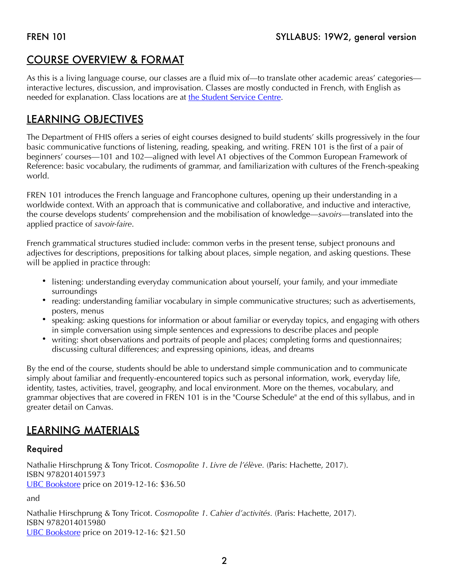# COURSE OVERVIEW & FORMAT

As this is a living language course, our classes are a fluid mix of—to translate other academic areas' categories interactive lectures, discussion, and improvisation. Classes are mostly conducted in French, with English as needed for explanation. Class locations are at [the Student Service Centre.](https://courses.students.ubc.ca/cs/courseschedule?pname=subjarea&tname=subj-course&dept=FREN&course=101)

# LEARNING OBJECTIVES

The Department of FHIS offers a series of eight courses designed to build students' skills progressively in the four basic communicative functions of listening, reading, speaking, and writing. FREN 101 is the first of a pair of beginners' courses—101 and 102—aligned with level A1 objectives of the Common European Framework of Reference: basic vocabulary, the rudiments of grammar, and familiarization with cultures of the French-speaking world.

FREN 101 introduces the French language and Francophone cultures, opening up their understanding in a worldwide context. With an approach that is communicative and collaborative, and inductive and interactive, the course develops students' comprehension and the mobilisation of knowledge—*savoirs*—translated into the applied practice of *savoir-faire*.

French grammatical structures studied include: common verbs in the present tense, subject pronouns and adjectives for descriptions, prepositions for talking about places, simple negation, and asking questions. These will be applied in practice through:

- listening: understanding everyday communication about yourself, your family, and your immediate surroundings
- reading: understanding familiar vocabulary in simple communicative structures; such as advertisements, posters, menus
- speaking: asking questions for information or about familiar or everyday topics, and engaging with others in simple conversation using simple sentences and expressions to describe places and people
- writing: short observations and portraits of people and places; completing forms and questionnaires; discussing cultural differences; and expressing opinions, ideas, and dreams

By the end of the course, students should be able to understand simple communication and to communicate simply about familiar and frequently-encountered topics such as personal information, work, everyday life, identity, tastes, activities, travel, geography, and local environment. More on the themes, vocabulary, and grammar objectives that are covered in FREN 101 is in the "Course Schedule" at the end of this syllabus, and in greater detail on Canvas.

# LEARNING MATERIALS

## Required

Nathalie Hirschprung & Tony Tricot. *Cosmopolite 1*. *Livre de l'élève.* (Paris: Hachette, 2017). ISBN 9782014015973 [UBC Bookstore](https://shop.bookstore.ubc.ca/courselistbuilder.aspx) price on 2019-12-16: \$36.50

and

Nathalie Hirschprung & Tony Tricot. *Cosmopolite 1*. *Cahier d'activités.* (Paris: Hachette, 2017). ISBN 9782014015980 [UBC Bookstore](https://shop.bookstore.ubc.ca/courselistbuilder.aspx) price on 2019-12-16: \$21.50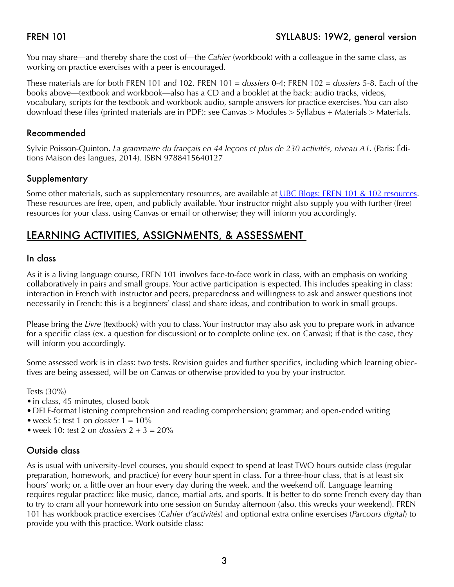You may share—and thereby share the cost of—the *Cahier* (workbook) with a colleague in the same class, as working on practice exercises with a peer is encouraged.

These materials are for both FREN 101 and 102. FREN 101 = *dossiers* 0-4; FREN 102 = *dossiers* 5-8. Each of the books above—textbook and workbook—also has a CD and a booklet at the back: audio tracks, videos, vocabulary, scripts for the textbook and workbook audio, sample answers for practice exercises. You can also download these files (printed materials are in PDF): see Canvas > Modules > Syllabus + Materials > Materials.

### Recommended

Sylvie Poisson-Quinton. *La grammaire du français en 44 leçons et plus de 230 activités, niveau A1*. (Paris: Éditions Maison des langues, 2014). ISBN 9788415640127

### Supplementary

Some other materials, such as supplementary resources, are available at [UBC Blogs: FREN 101 & 102 resources](https://blogs.ubc.ca/fren101and102/le-programme-syllabus/syllabus-2-the-rules/). These resources are free, open, and publicly available. Your instructor might also supply you with further (free) resources for your class, using Canvas or email or otherwise; they will inform you accordingly.

## LEARNING ACTIVITIES, ASSIGNMENTS, & ASSESSMENT

### In class

As it is a living language course, FREN 101 involves face-to-face work in class, with an emphasis on working collaboratively in pairs and small groups. Your active participation is expected. This includes speaking in class: interaction in French with instructor and peers, preparedness and willingness to ask and answer questions (not necessarily in French: this is a beginners' class) and share ideas, and contribution to work in small groups.

Please bring the *Livre* (textbook) with you to class. Your instructor may also ask you to prepare work in advance for a specific class (ex. a question for discussion) or to complete online (ex. on Canvas); if that is the case, they will inform you accordingly.

Some assessed work is in class: two tests. Revision guides and further specifics, including which learning obiectives are being assessed, will be on Canvas or otherwise provided to you by your instructor.

Tests (30%)

- in class, 45 minutes, closed book
- •DELF-format listening comprehension and reading comprehension; grammar; and open-ended writing
- week 5: test 1 on *dossier*  $1 = 10\%$
- week 10: test 2 on *dossiers*  $2 + 3 = 20\%$

## Outside class

As is usual with university-level courses, you should expect to spend at least TWO hours outside class (regular preparation, homework, and practice) for every hour spent in class. For a three-hour class, that is at least six hours' work; or, a little over an hour every day during the week, and the weekend off. Language learning requires regular practice: like music, dance, martial arts, and sports. It is better to do some French every day than to try to cram all your homework into one session on Sunday afternoon (also, this wrecks your weekend). FREN 101 has workbook practice exercises (*Cahier d'activités*) and optional extra online exercises (*Parcours digital*) to provide you with this practice. Work outside class: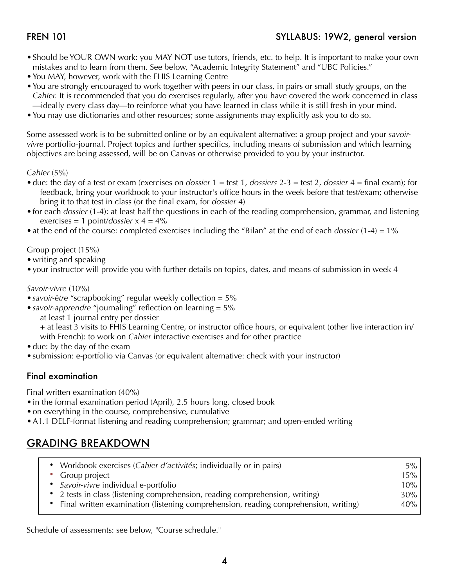- •Should be YOUR OWN work: you MAY NOT use tutors, friends, etc. to help. It is important to make your own mistakes and to learn from them. See below, "Academic Integrity Statement" and "UBC Policies."
- •You MAY, however, work with the FHIS Learning Centre
- •You are strongly encouraged to work together with peers in our class, in pairs or small study groups, on the *Cahier.* It is recommended that you do exercises regularly, after you have covered the work concerned in class —ideally every class day—to reinforce what you have learned in class while it is still fresh in your mind.
- •You may use dictionaries and other resources; some assignments may explicitly ask you to do so.

Some assessed work is to be submitted online or by an equivalent alternative: a group project and your *savoirvivre* portfolio-journal. Project topics and further specifics, including means of submission and which learning objectives are being assessed, will be on Canvas or otherwise provided to you by your instructor.

### *Cahier* (5%)

- •due: the day of a test or exam (exercises on *dossier* 1 = test 1, *dossiers* 2-3 = test 2, *dossier* 4 = final exam); for feedback, bring your workbook to your instructor's office hours in the week before that test/exam; otherwise bring it to that test in class (or the final exam, for *dossier* 4)
- •for each *dossier* (1-4): at least half the questions in each of the reading comprehension, grammar, and listening exercises = 1 point/*dossier* x 4 = 4%
- •at the end of the course: completed exercises including the "Bilan" at the end of each *dossier* (1-4) = 1%

### Group project (15%)

- writing and speaking
- •your instructor will provide you with further details on topics, dates, and means of submission in week 4

### *Savoir-vivre* (10%)

- •*savoir-être* "scrapbooking" regular weekly collection = 5%
- •*savoir-apprendre* "journaling" reflection on learning = 5%
	- at least 1 journal entry per dossier

+ at least 3 visits to FHIS Learning Centre, or instructor office hours, or equivalent (other live interaction in/ with French): to work on *Cahier* interactive exercises and for other practice

- due: by the day of the exam
- submission: e-portfolio via Canvas (or equivalent alternative: check with your instructor)

### Final examination

Final written examination (40%)

- in the formal examination period (April), 2.5 hours long, closed book
- •on everything in the course, comprehensive, cumulative
- •A1.1 DELF-format listening and reading comprehension; grammar; and open-ended writing

## GRADING BREAKDOWN

| • Workbook exercises (Cahier d'activités; individually or in pairs)                   | $5\%$  |
|---------------------------------------------------------------------------------------|--------|
| • Group project                                                                       | 15%    |
| • Savoir-vivre individual e-portfolio                                                 | $10\%$ |
| • 2 tests in class (listening comprehension, reading comprehension, writing)          | $30\%$ |
| • Final written examination (listening comprehension, reading comprehension, writing) | 40%    |

Schedule of assessments: see below, "Course schedule."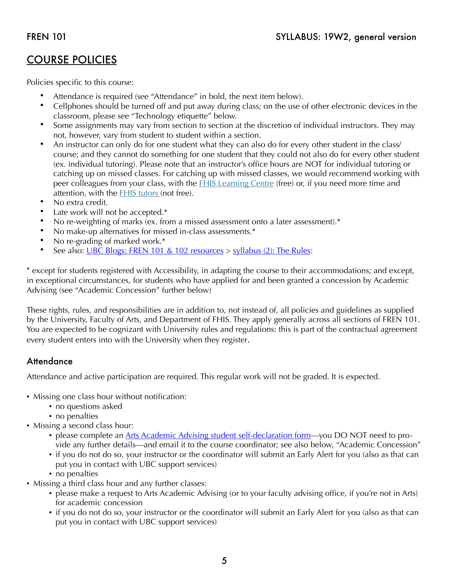## COURSE POLICIES

Policies specific to this course:

- Attendance is required (see "Attendance" in bold, the next item below).
- Cellphones should be turned off and put away during class; on the use of other electronic devices in the classroom, please see "Technology etiquette" below.
- Some assignments may vary from section to section at the discretion of individual instructors. They may not, however, vary from student to student within a section.
- An instructor can only do for one student what they can also do for every other student in the class/ course; and they cannot do something for one student that they could not also do for every other student (ex. individual tutoring). Please note that an instructor's office hours are NOT for individual tutoring or catching up on missed classes. For catching up with missed classes, we would recommend working with peer colleagues from your class, with the **FHIS Learning Centre** (free) or, if you need more time and attention, with the [FHIS tutors](https://fhis.ubc.ca/tutor-list/) (not free).
- No extra credit.
- Late work will not be accepted.\*
- No re-weighting of marks (ex. from a missed assessment onto a later assessment).\*
- No make-up alternatives for missed in-class assessments.\*
- No re-grading of marked work.\*
- See also: [UBC Blogs: FREN 101 & 102 resources](https://blogs.ubc.ca/fren101and102/le-programme-syllabus/syllabus-2-the-rules/) > [syllabus \(2\): The Rules:](https://blogs.ubc.ca/fren101and102/le-programme-syllabus/syllabus-2-the-rules/)

\* except for students registered with Accessibility, in adapting the course to their accommodations; and except, in exceptional circumstances, for students who have applied for and been granted a concession by Academic Advising (see "Academic Concession" further below)

These rights, rules, and responsibilities are in addition to, not instead of, all policies and guidelines as supplied by the University, Faculty of Arts, and Department of FHIS. They apply generally across all sections of FREN 101. You are expected to be cognizant with University rules and regulations: this is part of the contractual agreement every student enters into with the University when they register.

## **Attendance**

Attendance and active participation are required. This regular work will not be graded. It is expected.

- Missing one class hour without notification:
	- no questions asked
	- no penalties
- Missing a second class hour:
	- please complete an [Arts Academic Advising student self-declaration form—](https://students-2016.sites.olt.ubc.ca/files/2019/09/Student-Self-Declaration-Form-1.6-Arts.pdf)you DO NOT need to provide any further details—and email it to the course coordinator; see also below, "Academic Concession"
	- if you do not do so, your instructor or the coordinator will submit an Early Alert for you (also as that can put you in contact with UBC support services)
	- no penalties
- Missing a third class hour and any further classes:
	- please make a request to Arts Academic Advising (or to your faculty advising office, if you're not in Arts) for academic concession
	- if you do not do so, your instructor or the coordinator will submit an Early Alert for you (also as that can put you in contact with UBC support services)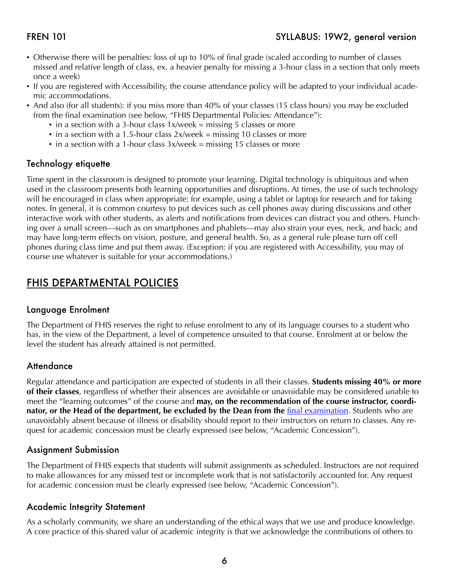- Otherwise there will be penalties: loss of up to 10% of final grade (scaled according to number of classes missed and relative length of class, ex. a heavier penalty for missing a 3-hour class in a section that only meets once a week)
- If you are registered with Accessibility, the course attendance policy will be adapted to your individual academic accommodations.
- And also (for all students): if you miss more than 40% of your classes (15 class hours) you may be excluded from the final examination (see below, "FHIS Departmental Policies: Attendance"):
	- in a section with a 3-hour class 1x/week = missing 5 classes or more
	- in a section with a 1.5-hour class 2x/week = missing 10 classes or more
	- in a section with a 1-hour class  $3x$ /week = missing 15 classes or more

### Technology etiquette

Time spent in the classroom is designed to promote your learning. Digital technology is ubiquitous and when used in the classroom presents both learning opportunities and disruptions. At times, the use of such technology will be encouraged in class when appropriate: for example, using a tablet or laptop for research and for taking notes. In general, it is common courtesy to put devices such as cell phones away during discussions and other interactive work with other students, as alerts and notifications from devices can distract you and others. Hunching over a small screen—such as on smartphones and phablets—may also strain your eyes, neck, and back; and may have long-term effects on vision, posture, and general health. So, as a general rule please turn off cell phones during class time and put them away. (Exception: if you are registered with Accessibility, you may of course use whatever is suitable for your accommodations.)

## FHIS DEPARTMENTAL POLICIES

### Language Enrolment

The Department of FHIS reserves the right to refuse enrolment to any of its language courses to a student who has, in the view of the Department, a level of competence unsuited to that course. Enrolment at or below the level the student has already attained is not permitted.

### **Attendance**

Regular attendance and participation are expected of students in all their classes. **Students missing 40% or more of their classes**, regardless of whether their absences are avoidable or unavoidable may be considered unable to meet the "learning outcomes" of the course and **may, on the recommendation of the course instructor, coordinator, or the Head of the department, be excluded by the Dean from the <b>final examination**. Students who are unavoidably absent because of illness or disability should report to their instructors on return to classes. Any request for academic concession must be clearly expressed (see below, "Academic Concession").

### Assignment Submission

The Department of FHIS expects that students will submit assignments as scheduled. Instructors are not required to make allowances for any missed test or incomplete work that is not satisfactorily accounted for. Any request for academic concession must be clearly expressed (see below, "Academic Concession").

### Academic Integrity Statement

As a scholarly community, we share an understanding of the ethical ways that we use and produce knowledge. A core practice of this shared valur of academic integrity is that we acknowledge the contributions of others to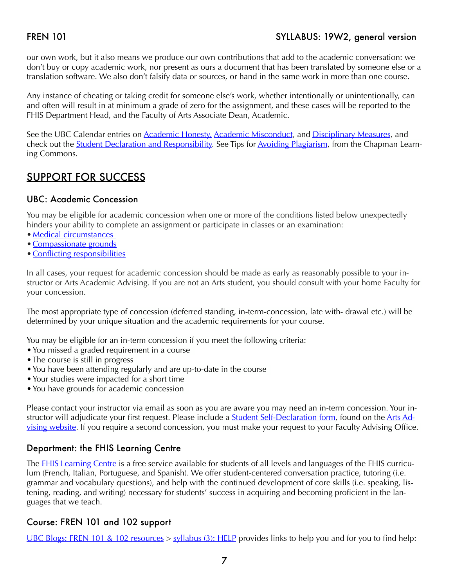### FREN 101 SYLLABUS: 19W2, general version

our own work, but it also means we produce our own contributions that add to the academic conversation: we don't buy or copy academic work, nor present as ours a document that has been translated by someone else or a translation software. We also don't falsify data or sources, or hand in the same work in more than one course.

Any instance of cheating or taking credit for someone else's work, whether intentionally or unintentionally, can and often will result in at minimum a grade of zero for the assignment, and these cases will be reported to the FHIS Department Head, and the Faculty of Arts Associate Dean, Academic.

See the UBC Calendar entries on [Academic Honesty,](http://www.calendar.ubc.ca/vancouver/index.cfm?tree=3,286,0,0) [Academic Misconduct,](http://www.calendar.ubc.ca/vancouver/?tree=3,54,111,959) and [Disciplinary Measures,](http://www.calendar.ubc.ca/vancouver/index.cfm?tree=3,54,111,960) and check out the **Student Declaration and Responsibility**. See Tips for **Avoiding Plagiarism**, from the Chapman Learning Commons.

## SUPPORT FOR SUCCESS

### UBC: Academic Concession

You may be eligible for academic concession when one or more of the conditions listed below unexpectedly hinders your ability to complete an assignment or participate in classes or an examination:

- Medical circumstances
- •[Compassionate grounds](http://www.calendar.ubc.ca/vancouver/index.cfm?tree=3,329,0,0#26589)
- [Conflicting responsibilities](http://www.calendar.ubc.ca/vancouver/index.cfm?tree=3,329,0,0#26587)

In all cases, your request for academic concession should be made as early as reasonably possible to your instructor or Arts Academic Advising. If you are not an Arts student, you should consult with your home Faculty for your concession.

The most appropriate type of concession (deferred standing, in-term-concession, late with- drawal etc.) will be determined by your unique situation and the academic requirements for your course.

You may be eligible for an in-term concession if you meet the following criteria:

- •You missed a graded requirement in a course
- The course is still in progress
- •You have been attending regularly and are up-to-date in the course
- •Your studies were impacted for a short time
- •You have grounds for academic concession

Please contact your instructor via email as soon as you are aware you may need an in-term concession. Your instructor will adjudicate your first request. Please include a **Student Self-Declaration form**, found on the **Arts Ad**[vising website](https://students.arts.ubc.ca/advising/academic-performance/help-academic-concession/). If you require a second concession, you must make your request to your Faculty Advising Office.

### Department: the FHIS Learning Centre

The [FHIS Learning Centre](https://fhis.ubc.ca/learning-centre/) is a free service available for students of all levels and languages of the FHIS curriculum (French, Italian, Portuguese, and Spanish). We offer student-centered conversation practice, tutoring (i.e. grammar and vocabulary questions), and help with the continued development of core skills (i.e. speaking, listening, reading, and writing) necessary for students' success in acquiring and becoming proficient in the languages that we teach.

### Course: FREN 101 and 102 support

[UBC Blogs: FREN 101 & 102 resources](https://blogs.ubc.ca/fren101and102/le-programme-syllabus/syllabus-2-the-rules/) > [syllabus \(3\): HELP](https://blogs.ubc.ca/fren101and102/le-programme-syllabus/syllabus-3-help/) provides links to help you and for you to find help: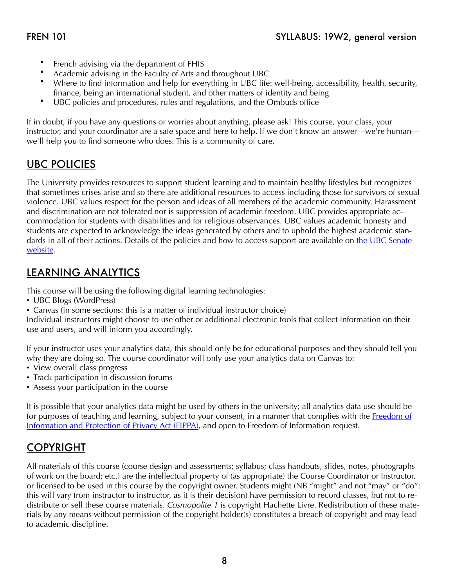- French advising via the department of FHIS
- Academic advising in the Faculty of Arts and throughout UBC
- Where to find information and help for everything in UBC life: well-being, accessibility, health, security, finance, being an international student, and other matters of identity and being
- UBC policies and procedures, rules and regulations, and the Ombuds office

If in doubt, if you have any questions or worries about anything, please ask! This course, your class, your instructor, and your coordinator are a safe space and here to help. If we don't know an answer—we're human we'll help you to find someone who does. This is a community of care.

## UBC POLICIES

The University provides resources to support student learning and to maintain healthy lifestyles but recognizes that sometimes crises arise and so there are additional resources to access including those for survivors of sexual violence. UBC values respect for the person and ideas of all members of the academic community. Harassment and discrimination are not tolerated nor is suppression of academic freedom. UBC provides appropriate accommodation for students with disabilities and for religious observances. UBC values academic honesty and students are expected to acknowledge the ideas generated by others and to uphold the highest academic standards in all of their actions. Details of the policies and how to access support are available on the UBC Senate [website](https://senate.ubc.ca/policies-resources-support-student-success).

## LEARNING ANALYTICS

This course will be using the following digital learning technologies:

- UBC Blogs (WordPress)
- Canvas (in some sections: this is a matter of individual instructor choice)

Individual instructors might choose to use other or additional electronic tools that collect information on their use and users, and will inform you accordingly.

If your instructor uses your analytics data, this should only be for educational purposes and they should tell you why they are doing so. The course coordinator will only use your analytics data on Canvas to:

- View overall class progress
- Track participation in discussion forums
- Assess your participation in the course

It is possible that your analytics data might be used by others in the university; all analytics data use should be for purposes of teaching and learning, subject to your consent, in a manner that complies with the Freedom of [Information and Protection of Privacy Act \(FIPPA\),](http://www.bclaws.ca/Recon/document/ID/freeside/96165_00) and open to Freedom of Information request.

# COPYRIGHT

All materials of this course (course design and assessments; syllabus; class handouts, slides, notes, photographs of work on the board; etc.) are the intellectual property of (as appropriate) the Course Coordinator or Instructor, or licensed to be used in this course by the copyright owner. Students might (NB "might" and not "may" or "do": this will vary from instructor to instructor, as it is their decision) have permission to record classes, but not to redistribute or sell these course materials. *Cosmopolite 1* is copyright Hachette Livre. Redistribution of these materials by any means without permission of the copyright holder(s) constitutes a breach of copyright and may lead to academic discipline.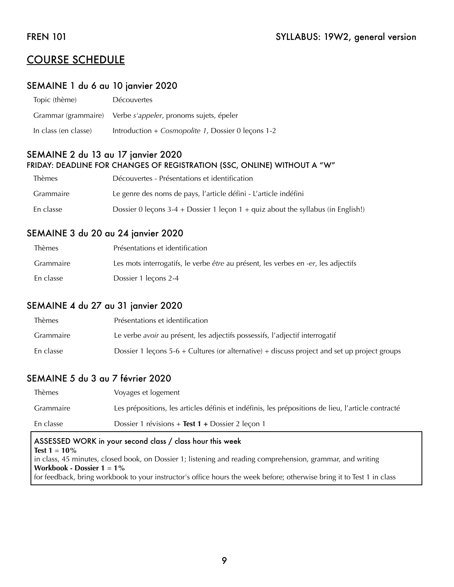## COURSE SCHEDULE

### SEMAINE 1 du 6 au 10 janvier 2020

| Topic (thème)        | <b>Découvertes</b>                                                  |
|----------------------|---------------------------------------------------------------------|
|                      | Grammar (grammaire) Verbe <i>s'appeler</i> , pronoms sujets, épeler |
| In class (en classe) | Introduction + Cosmopolite 1, Dossier 0 lecons 1-2                  |

### SEMAINE 2 du 13 au 17 janvier 2020 FRIDAY: DEADLINE FOR CHANGES OF REGISTRATION (SSC, ONLINE) WITHOUT A "W"

| <b>Thèmes</b> | Découvertes - Présentations et identification                                        |
|---------------|--------------------------------------------------------------------------------------|
| Grammaire     | Le genre des noms de pays, l'article défini - L'article indéfini                     |
| En classe     | Dossier 0 leçons $3-4$ + Dossier 1 leçon $1$ + quiz about the syllabus (in English!) |

### SEMAINE 3 du 20 au 24 janvier 2020

| <b>Thèmes</b> | Présentations et identification                                                    |
|---------------|------------------------------------------------------------------------------------|
| Grammaire     | Les mots interrogatifs, le verbe être au présent, les verbes en -er, les adjectifs |
| En classe     | Dossier 1 lecons 2-4                                                               |

### SEMAINE 4 du 27 au 31 janvier 2020

| Thèmes           | Présentations et identification                                                                |
|------------------|------------------------------------------------------------------------------------------------|
| <b>Grammaire</b> | Le verbe avoir au présent, les adjectifs possessifs, l'adjectif interrogatif                   |
| En classe        | Dossier 1 lecons $5-6$ + Cultures (or alternative) + discuss project and set up project groups |

### SEMAINE 5 du 3 au 7 février 2020

| <b>Thèmes</b> | Voyages et logement                                                                                |
|---------------|----------------------------------------------------------------------------------------------------|
| Grammaire     | Les prépositions, les articles définis et indéfinis, les prépositions de lieu, l'article contracté |
| En classe     | Dossier 1 révisions + Test 1 + Dossier 2 leçon 1                                                   |
|               |                                                                                                    |

### ASSESSED WORK in your second class / class hour this week **Test 1** = **10%** in class, 45 minutes, closed book, on Dossier 1; listening and reading comprehension, grammar, and writing **Workbook - Dossier 1** = **1%** for feedback, bring workbook to your instructor's office hours the week before; otherwise bring it to Test 1 in class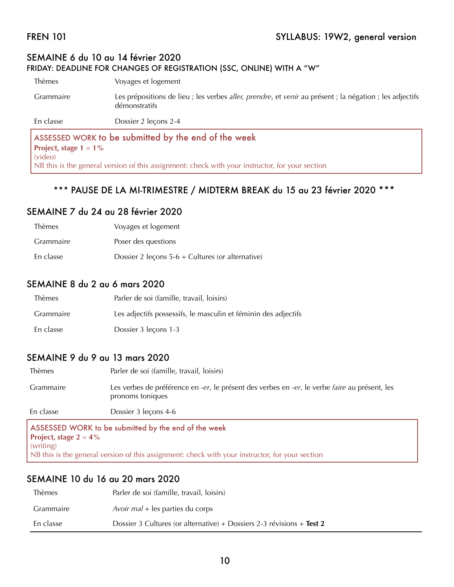### SEMAINE 6 du 10 au 14 février 2020 FRIDAY: DEADLINE FOR CHANGES OF REGISTRATION (SSC, ONLINE) WITH A "W"

Thèmes Voyages et logement Grammaire Les prépositions de lieu ; les verbes *aller, prendre*, et *venir* au présent ; la négation ; les adjectifs démonstratifs En classe Dossier 2 leçons 2-4 ASSESSED WORK to be submitted by the end of the week **Project, stage 1** = **1%**  (video)

NB this is the general version of this assignment: check with your instructor, for your section

### \*\*\* PAUSE DE LA MI-TRIMESTRE / MIDTERM BREAK du 15 au 23 février 2020 \*\*\*

### SEMAINE 7 du 24 au 28 février 2020

| Thèmes    | Voyages et logement                                |
|-----------|----------------------------------------------------|
| Grammaire | Poser des questions                                |
| En classe | Dossier 2 leçons $5-6$ + Cultures (or alternative) |

### SEMAINE 8 du 2 au 6 mars 2020

| Thèmes    | Parler de soi (famille, travail, loisirs)                      |
|-----------|----------------------------------------------------------------|
| Grammaire | Les adjectifs possessifs, le masculin et féminin des adjectifs |
| En classe | Dossier 3 lecons 1-3                                           |

### SEMAINE 9 du 9 au 13 mars 2020

| Thèmes                                               | Parler de soi (famille, travail, loisirs)                                                                         |
|------------------------------------------------------|-------------------------------------------------------------------------------------------------------------------|
| Grammaire                                            | Les verbes de préférence en -er, le présent des verbes en -er, le verbe faire au présent, les<br>pronoms toniques |
| En classe                                            | Dossier 3 leçons 4-6                                                                                              |
| ASSESSED WORK to be submitted by the end of the week |                                                                                                                   |

e submitted by the end of the week **Project, stage**  $2 = 4\%$ (writing) NB this is the general version of this assignment: check with your instructor, for your section

### SEMAINE 10 du 16 au 20 mars 2020

| <b>Thèmes</b> | Parler de soi (famille, travail, loisirs)                             |
|---------------|-----------------------------------------------------------------------|
| Grammaire     | Avoir $mal + les$ parties du corps                                    |
| En classe     | Dossier 3 Cultures (or alternative) + Dossiers 2-3 révisions + Test 2 |